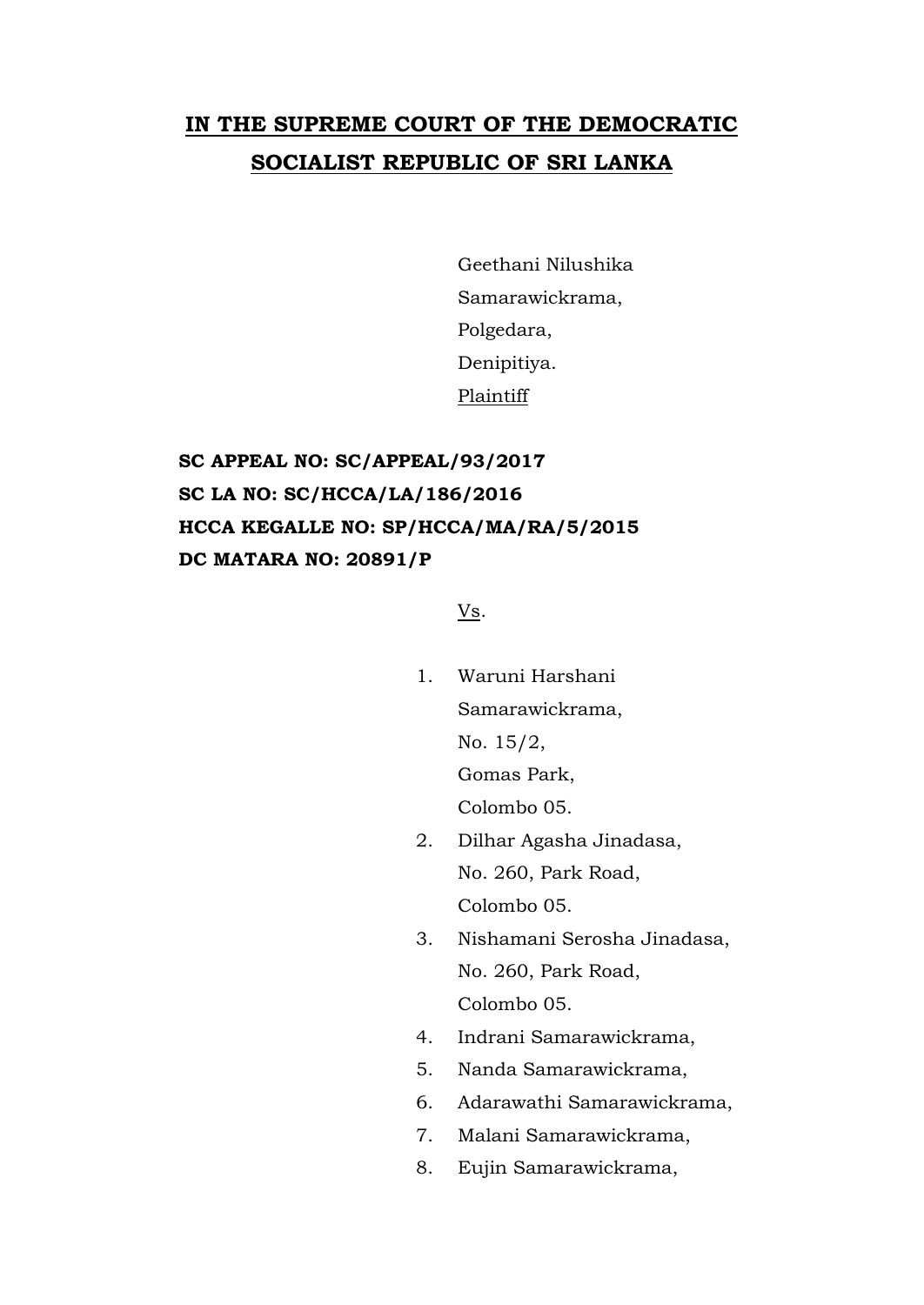## **IN THE SUPREME COURT OF THE DEMOCRATIC SOCIALIST REPUBLIC OF SRI LANKA**

Geethani Nilushika Samarawickrama, Polgedara, Denipitiya. Plaintiff

## **SC APPEAL NO: SC/APPEAL/93/2017 SC LA NO: SC/HCCA/LA/186/2016 HCCA KEGALLE NO: SP/HCCA/MA/RA/5/2015 DC MATARA NO: 20891/P**

Vs.

- 1. Waruni Harshani Samarawickrama, No. 15/2, Gomas Park, Colombo 05.
- 2. Dilhar Agasha Jinadasa, No. 260, Park Road, Colombo 05.
- 3. Nishamani Serosha Jinadasa, No. 260, Park Road, Colombo 05.
- 4. Indrani Samarawickrama,
- 5. Nanda Samarawickrama,
- 6. Adarawathi Samarawickrama,
- 7. Malani Samarawickrama,
- 8. Eujin Samarawickrama,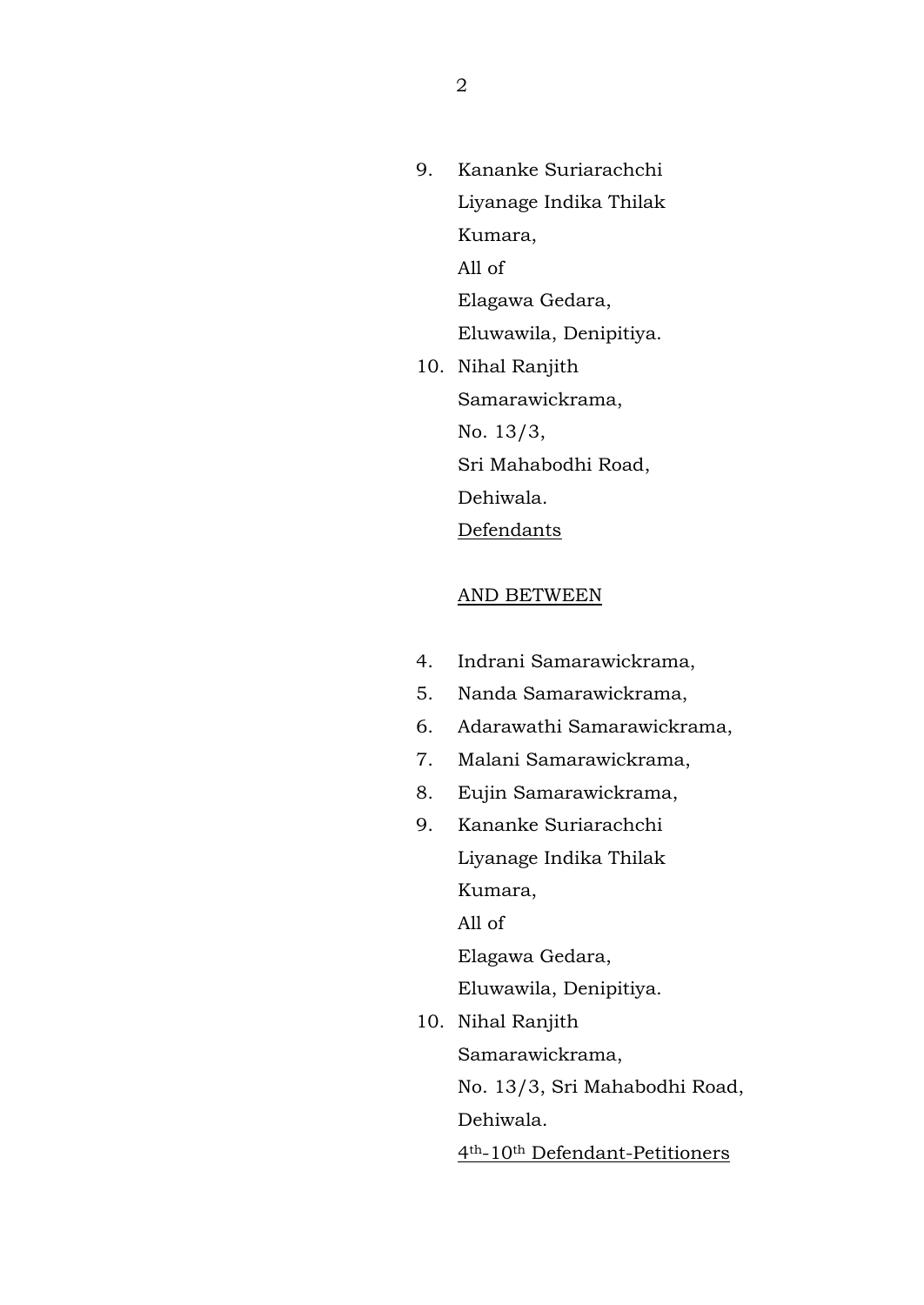- 9. Kananke Suriarachchi Liyanage Indika Thilak Kumara, All of Elagawa Gedara, Eluwawila, Denipitiya. 10. Nihal Ranjith
	- Samarawickrama, No. 13/3, Sri Mahabodhi Road, Dehiwala. **Defendants**

## AND BETWEEN

- 4. Indrani Samarawickrama,
- 5. Nanda Samarawickrama,
- 6. Adarawathi Samarawickrama,
- 7. Malani Samarawickrama,
- 8. Eujin Samarawickrama,
- 9. Kananke Suriarachchi Liyanage Indika Thilak Kumara,

All of

Elagawa Gedara,

Eluwawila, Denipitiya.

10. Nihal Ranjith Samarawickrama, No. 13/3, Sri Mahabodhi Road, Dehiwala. 4th-10th Defendant-Petitioners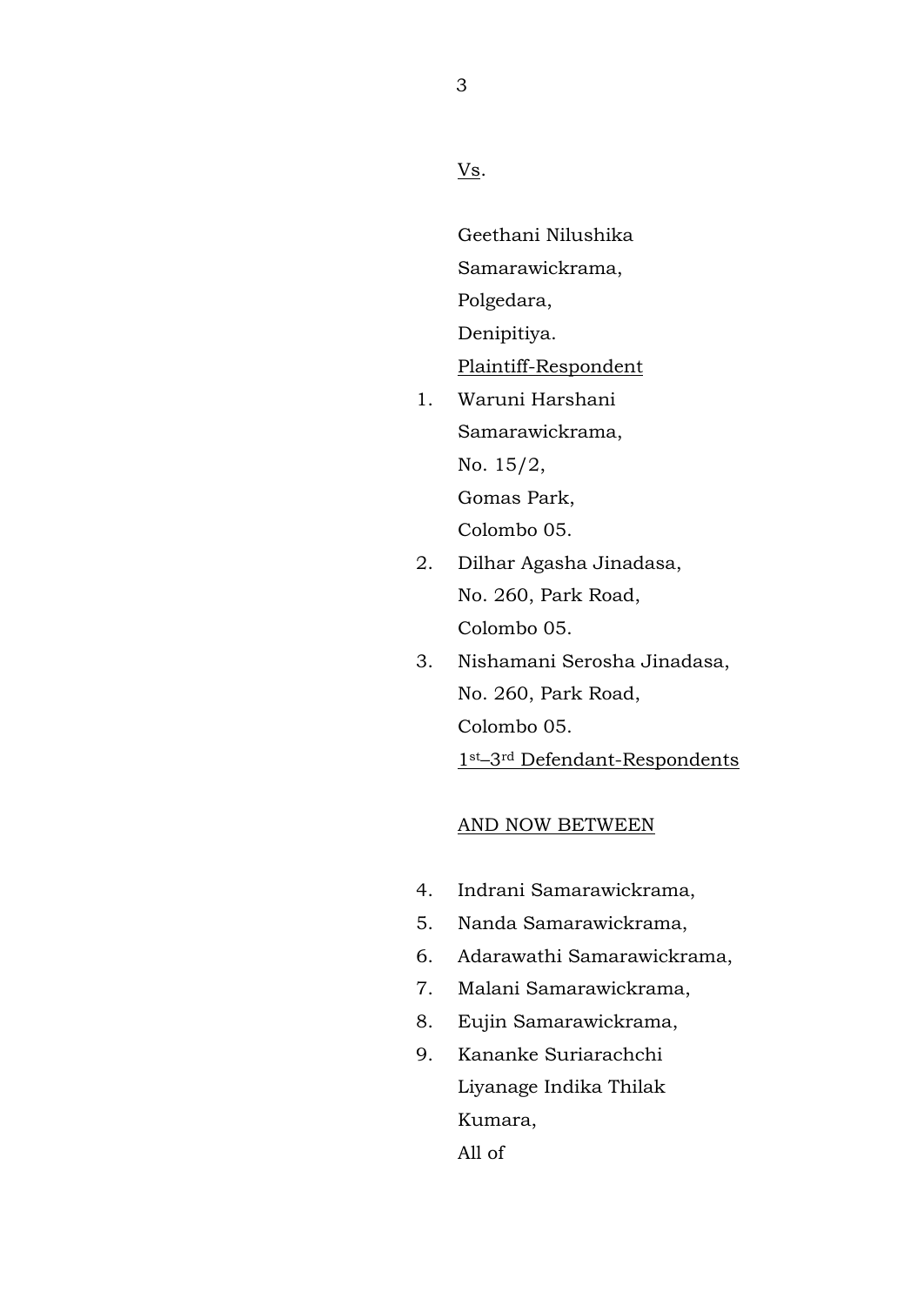Vs.

Geethani Nilushika Samarawickrama, Polgedara, Denipitiya.

Plaintiff-Respondent

- 1. Waruni Harshani Samarawickrama, No. 15/2, Gomas Park, Colombo 05.
- 2. Dilhar Agasha Jinadasa, No. 260, Park Road, Colombo 05.
- 3. Nishamani Serosha Jinadasa, No. 260, Park Road, Colombo 05. 1st–3rd Defendant-Respondents

## AND NOW BETWEEN

- 4. Indrani Samarawickrama,
- 5. Nanda Samarawickrama,
- 6. Adarawathi Samarawickrama,
- 7. Malani Samarawickrama,
- 8. Eujin Samarawickrama,
- 9. Kananke Suriarachchi Liyanage Indika Thilak Kumara, All of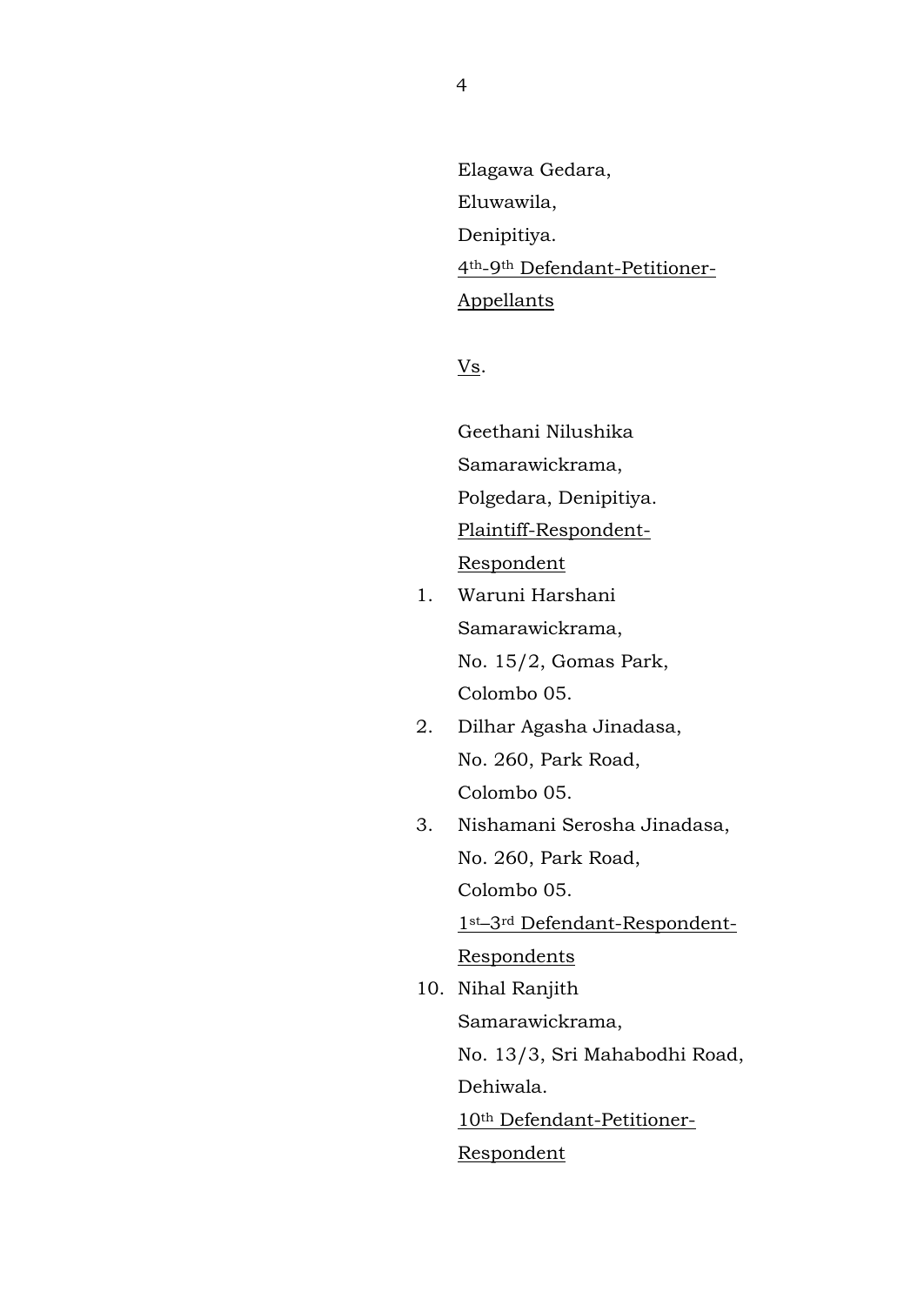Elagawa Gedara, Eluwawila, Denipitiya. 4th-9th Defendant-Petitioner-Appellants

Vs.

Geethani Nilushika Samarawickrama, Polgedara, Denipitiya. Plaintiff-Respondent-Respondent

- 1. Waruni Harshani Samarawickrama, No. 15/2, Gomas Park, Colombo 05.
- 2. Dilhar Agasha Jinadasa, No. 260, Park Road, Colombo 05.
- 3. Nishamani Serosha Jinadasa, No. 260, Park Road, Colombo 05.

1st–3rd Defendant-Respondent-**Respondents** 

10. Nihal Ranjith Samarawickrama, No. 13/3, Sri Mahabodhi Road, Dehiwala. 10th Defendant-Petitioner-Respondent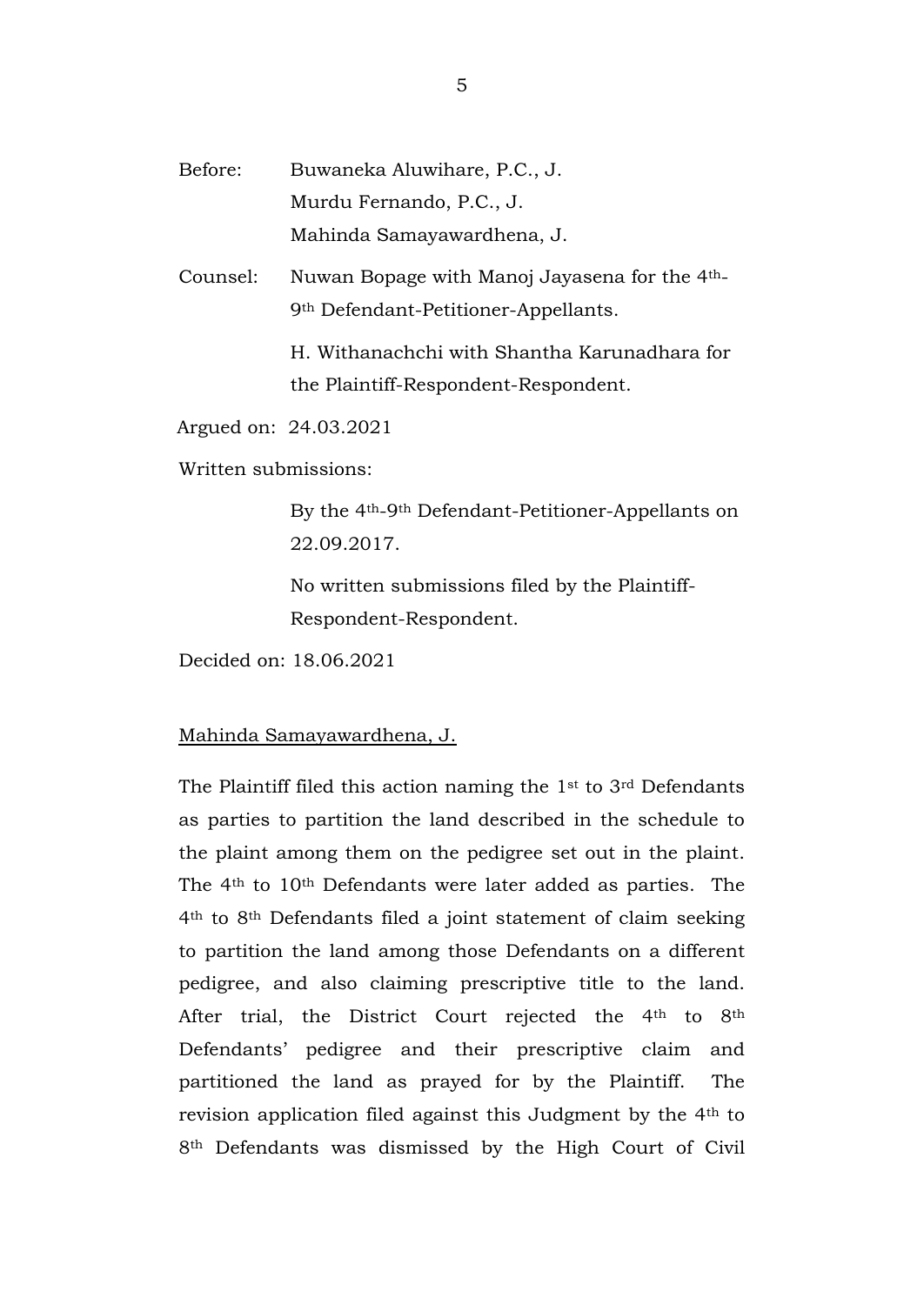Before: Buwaneka Aluwihare, P.C., J. Murdu Fernando, P.C., J. Mahinda Samayawardhena, J.

Counsel: Nuwan Bopage with Manoj Jayasena for the 4th-9th Defendant-Petitioner-Appellants.

> H. Withanachchi with Shantha Karunadhara for the Plaintiff-Respondent-Respondent.

Argued on: 24.03.2021

Written submissions:

By the 4th-9th Defendant-Petitioner-Appellants on 22.09.2017.

No written submissions filed by the Plaintiff-Respondent-Respondent.

Decided on: 18.06.2021

Mahinda Samayawardhena, J.

The Plaintiff filed this action naming the 1st to 3rd Defendants as parties to partition the land described in the schedule to the plaint among them on the pedigree set out in the plaint. The 4th to 10th Defendants were later added as parties. The 4th to 8th Defendants filed a joint statement of claim seeking to partition the land among those Defendants on a different pedigree, and also claiming prescriptive title to the land. After trial, the District Court rejected the 4<sup>th</sup> to 8<sup>th</sup> Defendants' pedigree and their prescriptive claim and partitioned the land as prayed for by the Plaintiff. The revision application filed against this Judgment by the 4th to 8th Defendants was dismissed by the High Court of Civil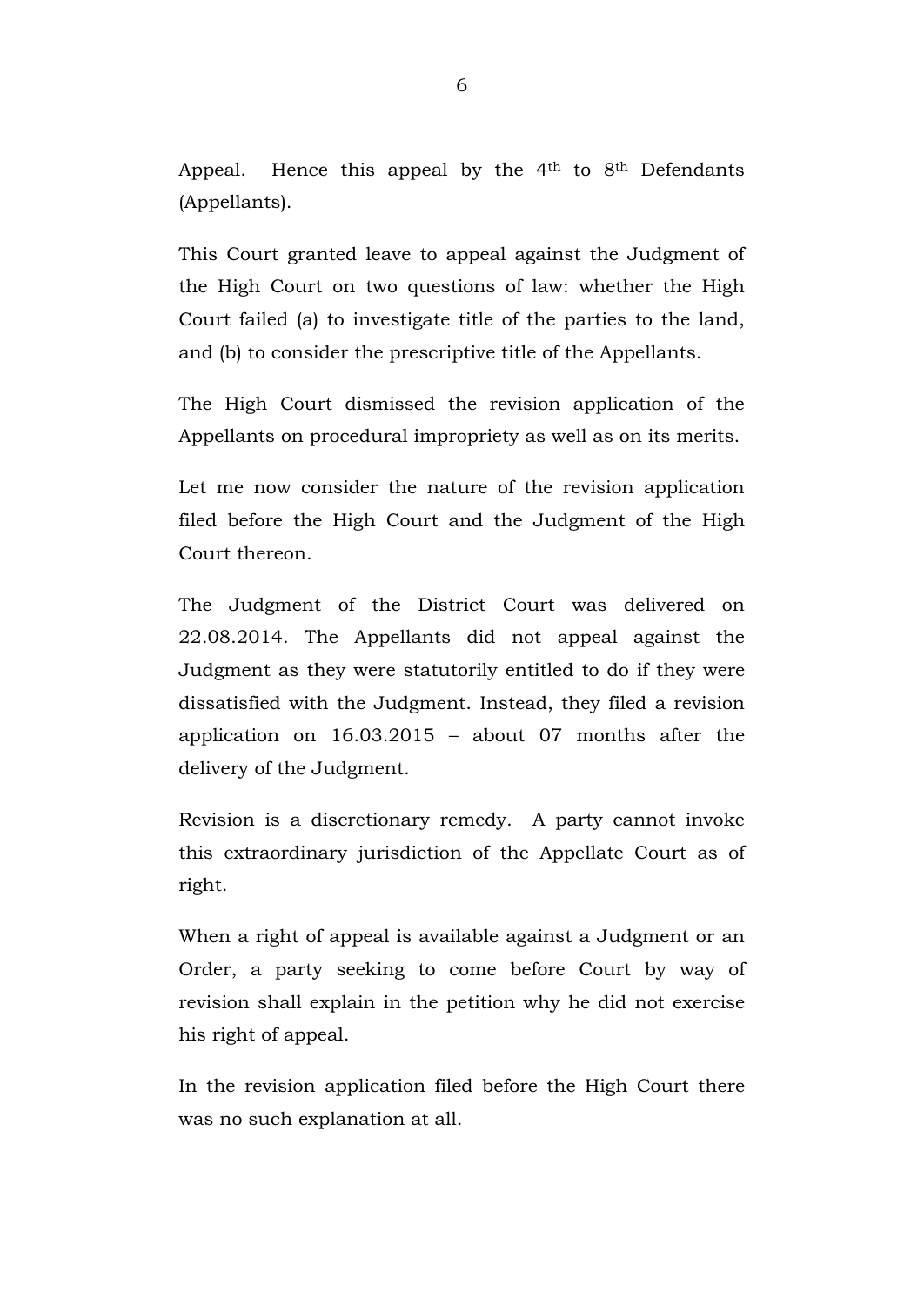Appeal. Hence this appeal by the  $4<sup>th</sup>$  to  $8<sup>th</sup>$  Defendants (Appellants).

This Court granted leave to appeal against the Judgment of the High Court on two questions of law: whether the High Court failed (a) to investigate title of the parties to the land, and (b) to consider the prescriptive title of the Appellants.

The High Court dismissed the revision application of the Appellants on procedural impropriety as well as on its merits.

Let me now consider the nature of the revision application filed before the High Court and the Judgment of the High Court thereon.

The Judgment of the District Court was delivered on 22.08.2014. The Appellants did not appeal against the Judgment as they were statutorily entitled to do if they were dissatisfied with the Judgment. Instead, they filed a revision application on 16.03.2015 – about 07 months after the delivery of the Judgment.

Revision is a discretionary remedy. A party cannot invoke this extraordinary jurisdiction of the Appellate Court as of right.

When a right of appeal is available against a Judgment or an Order, a party seeking to come before Court by way of revision shall explain in the petition why he did not exercise his right of appeal.

In the revision application filed before the High Court there was no such explanation at all.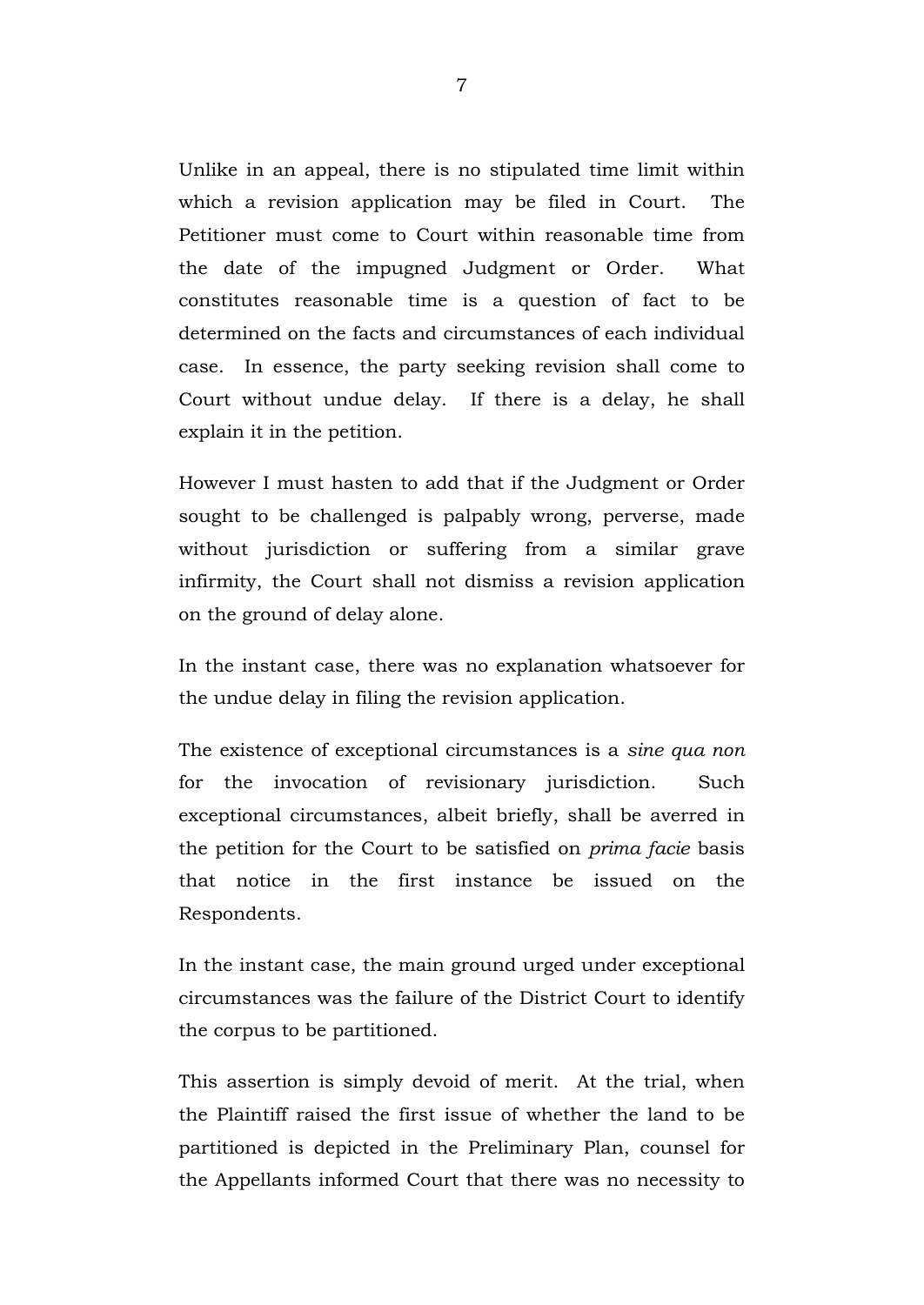Unlike in an appeal, there is no stipulated time limit within which a revision application may be filed in Court. The Petitioner must come to Court within reasonable time from the date of the impugned Judgment or Order. What constitutes reasonable time is a question of fact to be determined on the facts and circumstances of each individual case. In essence, the party seeking revision shall come to Court without undue delay. If there is a delay, he shall explain it in the petition.

However I must hasten to add that if the Judgment or Order sought to be challenged is palpably wrong, perverse, made without jurisdiction or suffering from a similar grave infirmity, the Court shall not dismiss a revision application on the ground of delay alone.

In the instant case, there was no explanation whatsoever for the undue delay in filing the revision application.

The existence of exceptional circumstances is a *sine qua non*  for the invocation of revisionary jurisdiction. Such exceptional circumstances, albeit briefly, shall be averred in the petition for the Court to be satisfied on *prima facie* basis that notice in the first instance be issued on the Respondents.

In the instant case, the main ground urged under exceptional circumstances was the failure of the District Court to identify the corpus to be partitioned.

This assertion is simply devoid of merit. At the trial, when the Plaintiff raised the first issue of whether the land to be partitioned is depicted in the Preliminary Plan, counsel for the Appellants informed Court that there was no necessity to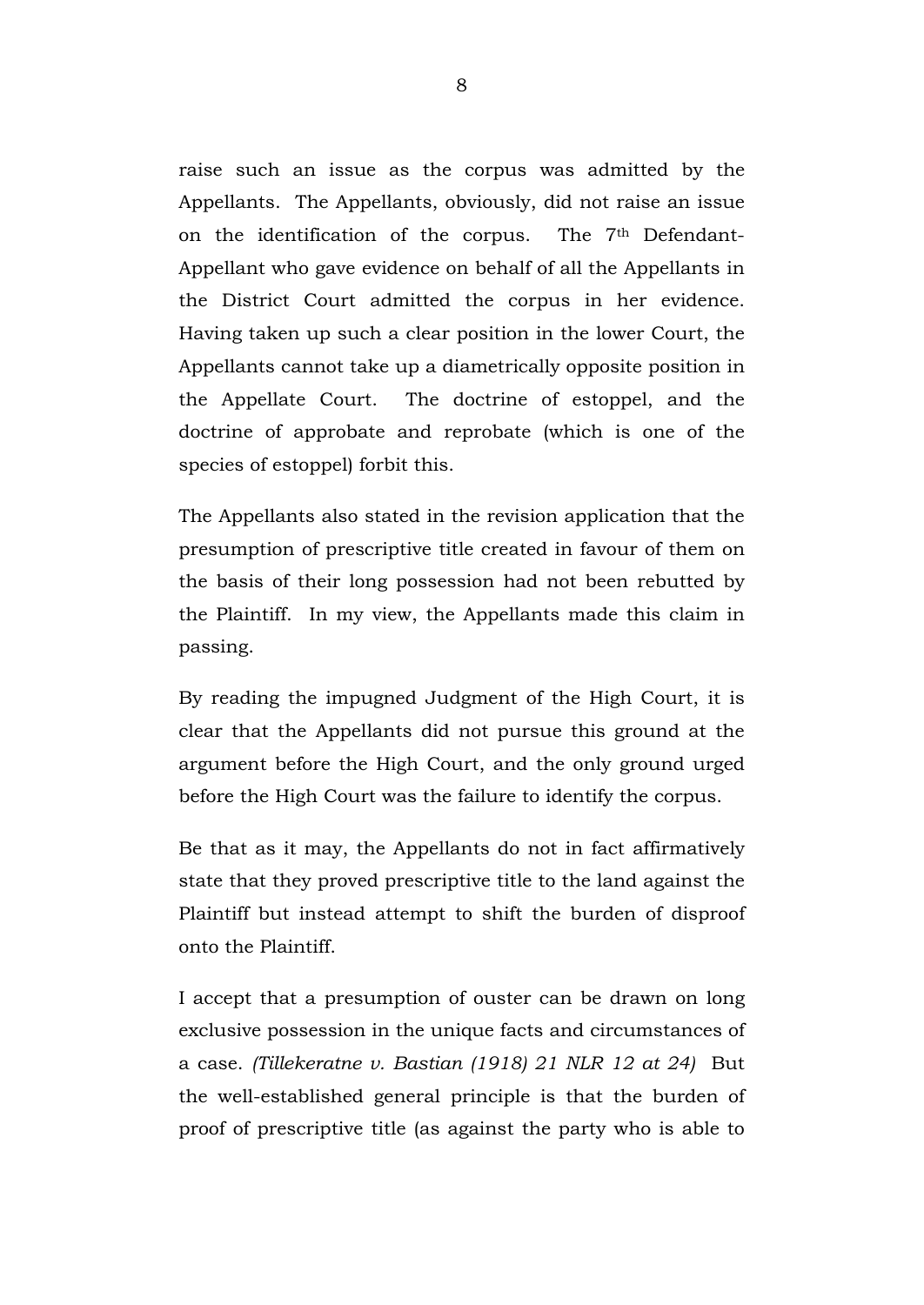raise such an issue as the corpus was admitted by the Appellants. The Appellants, obviously, did not raise an issue on the identification of the corpus. The 7th Defendant-Appellant who gave evidence on behalf of all the Appellants in the District Court admitted the corpus in her evidence. Having taken up such a clear position in the lower Court, the Appellants cannot take up a diametrically opposite position in the Appellate Court. The doctrine of estoppel, and the doctrine of approbate and reprobate (which is one of the species of estoppel) forbit this.

The Appellants also stated in the revision application that the presumption of prescriptive title created in favour of them on the basis of their long possession had not been rebutted by the Plaintiff. In my view, the Appellants made this claim in passing.

By reading the impugned Judgment of the High Court, it is clear that the Appellants did not pursue this ground at the argument before the High Court, and the only ground urged before the High Court was the failure to identify the corpus.

Be that as it may, the Appellants do not in fact affirmatively state that they proved prescriptive title to the land against the Plaintiff but instead attempt to shift the burden of disproof onto the Plaintiff.

I accept that a presumption of ouster can be drawn on long exclusive possession in the unique facts and circumstances of a case. *(Tillekeratne v. Bastian (1918) 21 NLR 12 at 24)* But the well-established general principle is that the burden of proof of prescriptive title (as against the party who is able to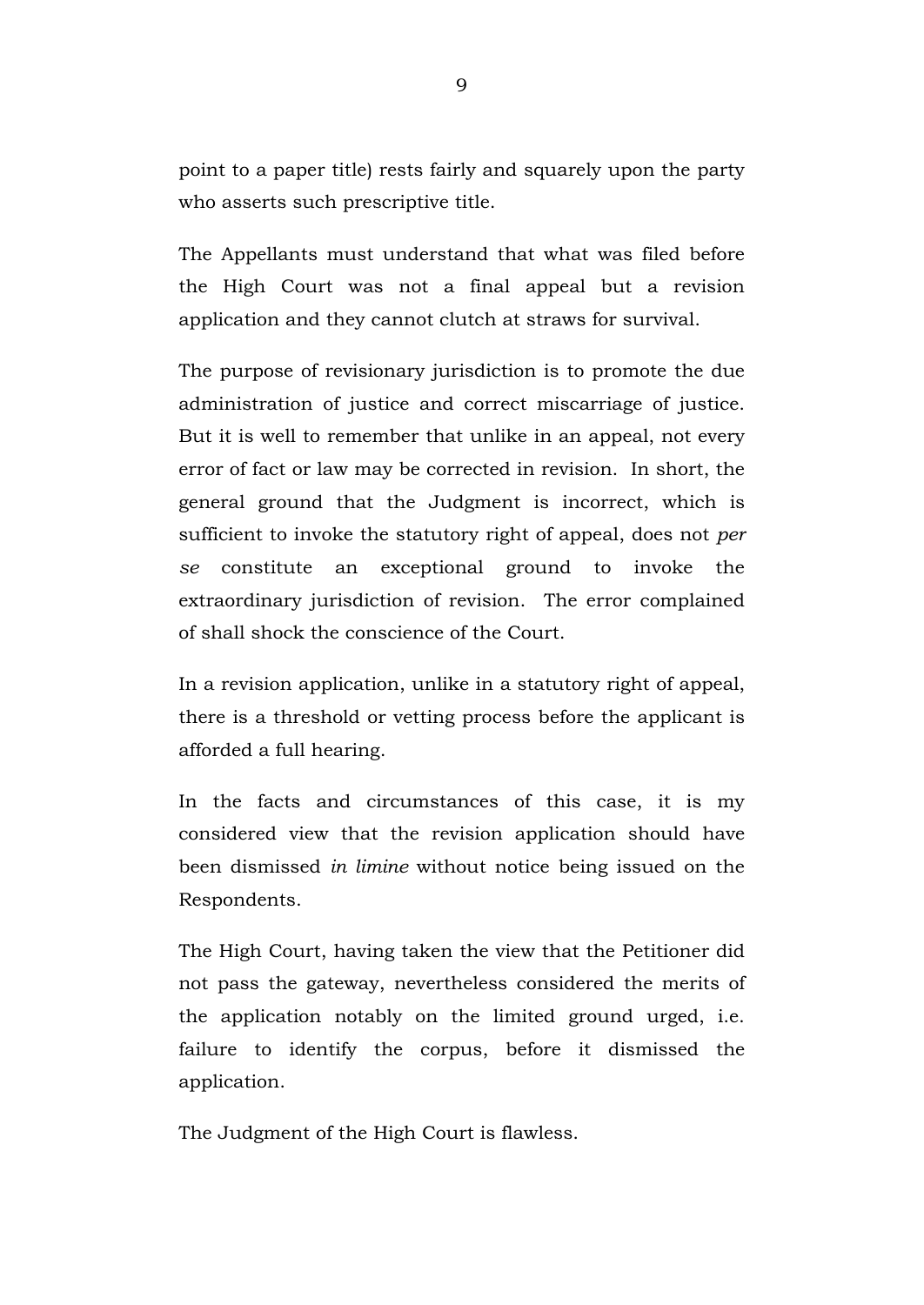point to a paper title) rests fairly and squarely upon the party who asserts such prescriptive title.

The Appellants must understand that what was filed before the High Court was not a final appeal but a revision application and they cannot clutch at straws for survival.

The purpose of revisionary jurisdiction is to promote the due administration of justice and correct miscarriage of justice. But it is well to remember that unlike in an appeal, not every error of fact or law may be corrected in revision. In short, the general ground that the Judgment is incorrect, which is sufficient to invoke the statutory right of appeal, does not *per se* constitute an exceptional ground to invoke the extraordinary jurisdiction of revision. The error complained of shall shock the conscience of the Court.

In a revision application, unlike in a statutory right of appeal, there is a threshold or vetting process before the applicant is afforded a full hearing.

In the facts and circumstances of this case, it is my considered view that the revision application should have been dismissed *in limine* without notice being issued on the Respondents.

The High Court, having taken the view that the Petitioner did not pass the gateway, nevertheless considered the merits of the application notably on the limited ground urged, i.e. failure to identify the corpus, before it dismissed the application.

The Judgment of the High Court is flawless.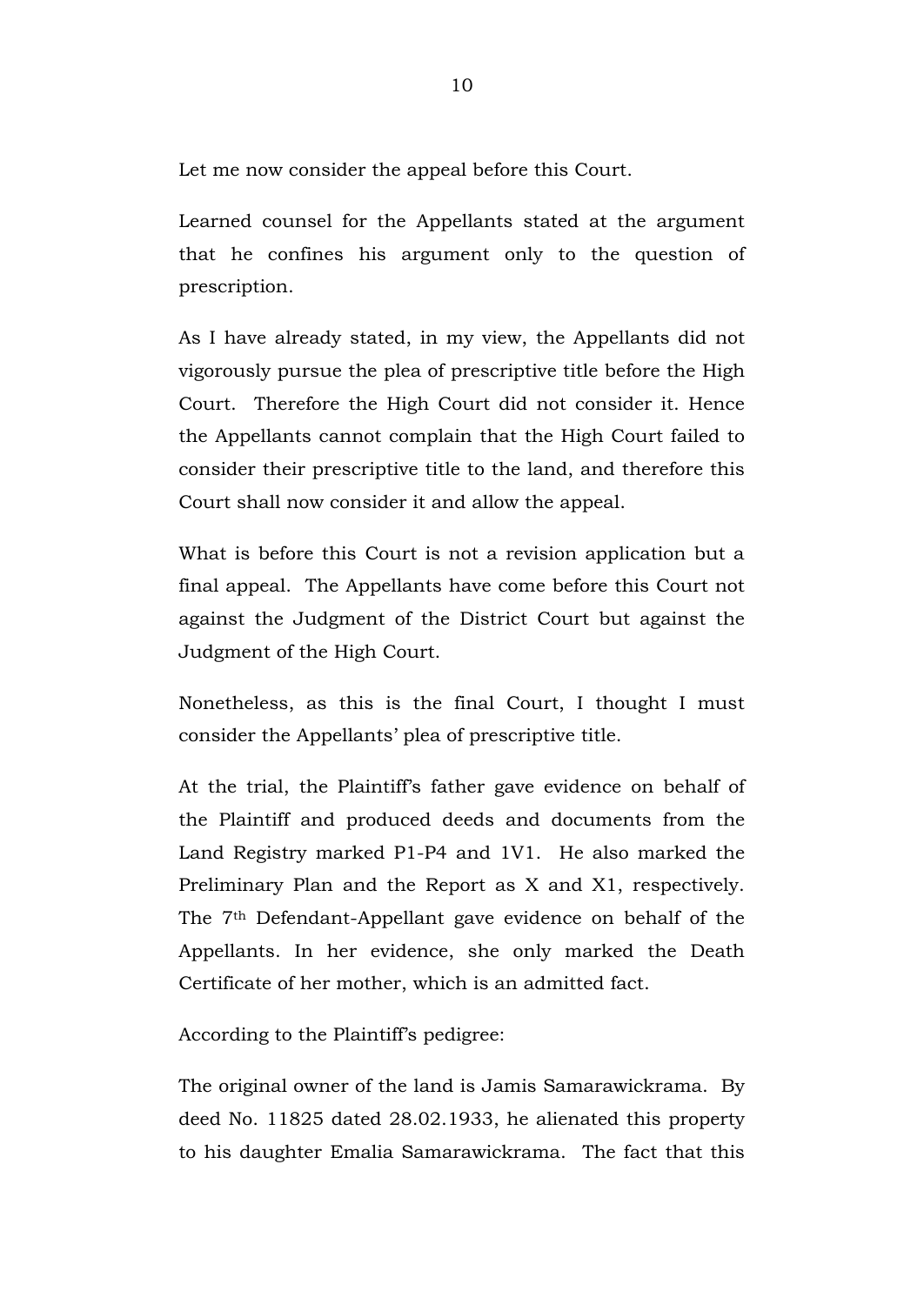Let me now consider the appeal before this Court.

Learned counsel for the Appellants stated at the argument that he confines his argument only to the question of prescription.

As I have already stated, in my view, the Appellants did not vigorously pursue the plea of prescriptive title before the High Court. Therefore the High Court did not consider it. Hence the Appellants cannot complain that the High Court failed to consider their prescriptive title to the land, and therefore this Court shall now consider it and allow the appeal.

What is before this Court is not a revision application but a final appeal. The Appellants have come before this Court not against the Judgment of the District Court but against the Judgment of the High Court.

Nonetheless, as this is the final Court, I thought I must consider the Appellants' plea of prescriptive title.

At the trial, the Plaintiff's father gave evidence on behalf of the Plaintiff and produced deeds and documents from the Land Registry marked P1-P4 and 1V1. He also marked the Preliminary Plan and the Report as X and X1, respectively. The 7th Defendant-Appellant gave evidence on behalf of the Appellants. In her evidence, she only marked the Death Certificate of her mother, which is an admitted fact.

According to the Plaintiff's pedigree:

The original owner of the land is Jamis Samarawickrama. By deed No. 11825 dated 28.02.1933, he alienated this property to his daughter Emalia Samarawickrama. The fact that this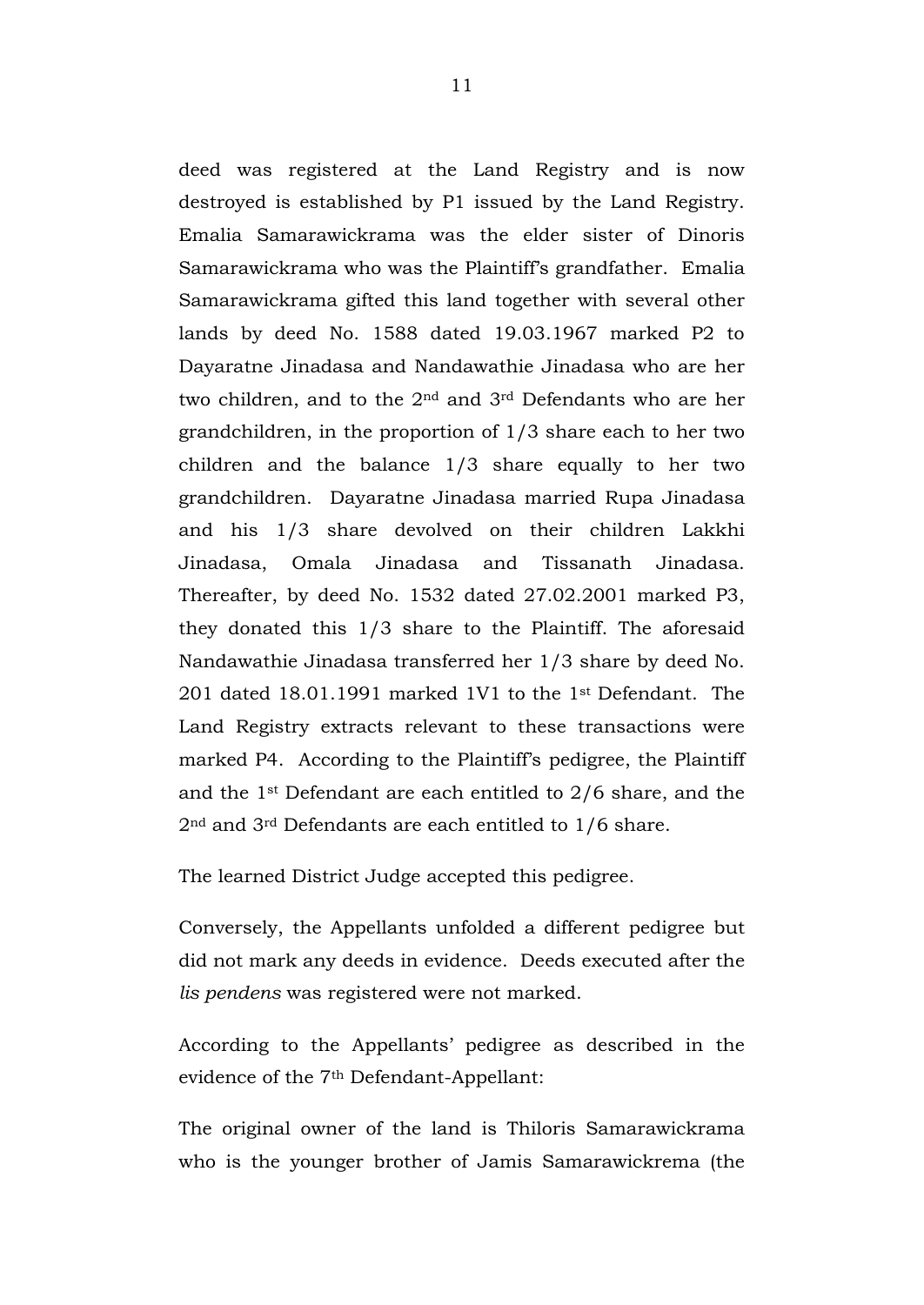deed was registered at the Land Registry and is now destroyed is established by P1 issued by the Land Registry. Emalia Samarawickrama was the elder sister of Dinoris Samarawickrama who was the Plaintiff's grandfather. Emalia Samarawickrama gifted this land together with several other lands by deed No. 1588 dated 19.03.1967 marked P2 to Dayaratne Jinadasa and Nandawathie Jinadasa who are her two children, and to the 2nd and 3rd Defendants who are her grandchildren, in the proportion of 1/3 share each to her two children and the balance 1/3 share equally to her two grandchildren. Dayaratne Jinadasa married Rupa Jinadasa and his 1/3 share devolved on their children Lakkhi Jinadasa, Omala Jinadasa and Tissanath Jinadasa. Thereafter, by deed No. 1532 dated 27.02.2001 marked P3, they donated this 1/3 share to the Plaintiff. The aforesaid Nandawathie Jinadasa transferred her 1/3 share by deed No. 201 dated 18.01.1991 marked 1V1 to the 1st Defendant. The Land Registry extracts relevant to these transactions were marked P4. According to the Plaintiff's pedigree, the Plaintiff and the 1st Defendant are each entitled to 2/6 share, and the 2nd and 3rd Defendants are each entitled to 1/6 share.

The learned District Judge accepted this pedigree.

Conversely, the Appellants unfolded a different pedigree but did not mark any deeds in evidence. Deeds executed after the *lis pendens* was registered were not marked.

According to the Appellants' pedigree as described in the evidence of the 7th Defendant-Appellant:

The original owner of the land is Thiloris Samarawickrama who is the younger brother of Jamis Samarawickrema (the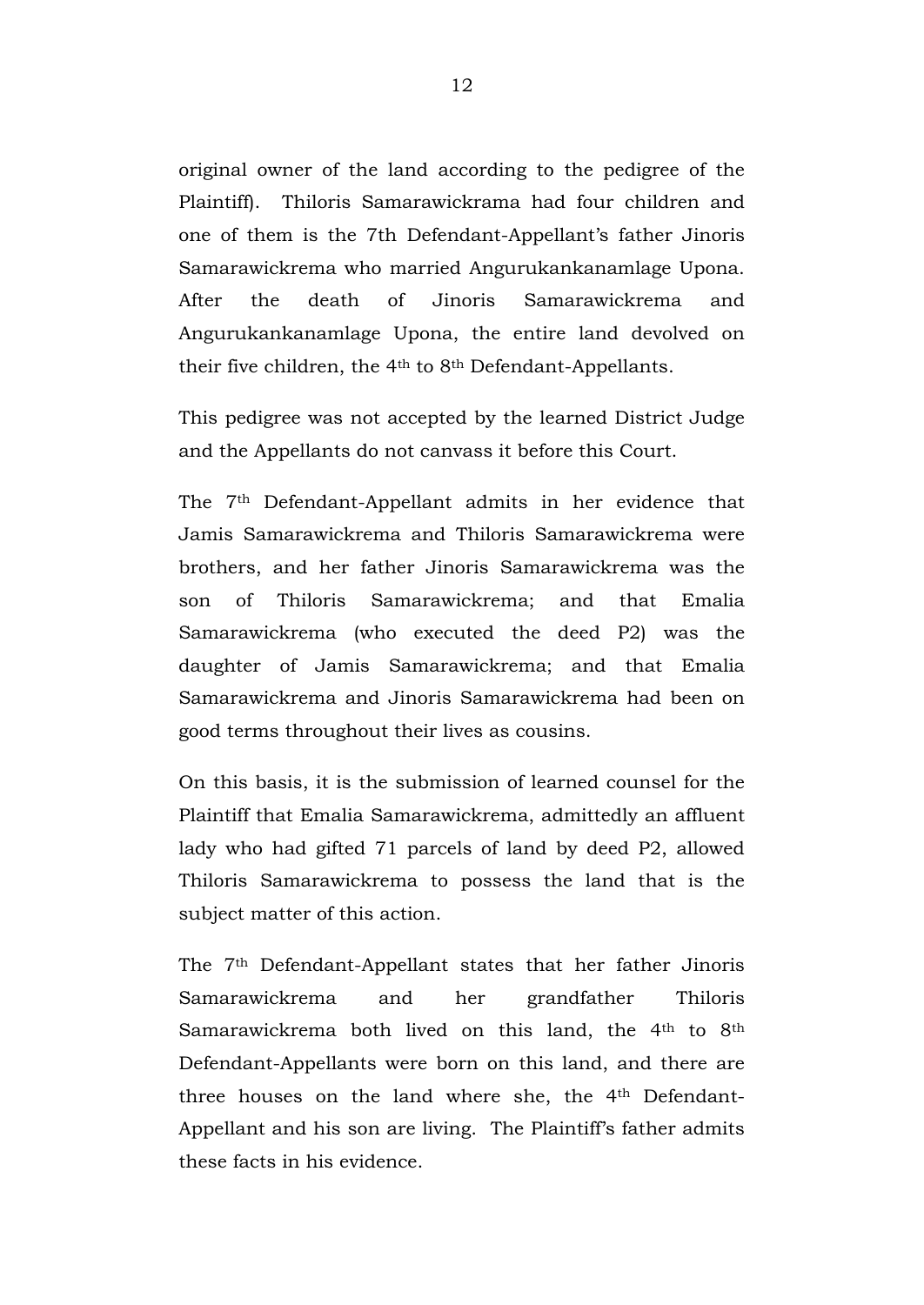original owner of the land according to the pedigree of the Plaintiff). Thiloris Samarawickrama had four children and one of them is the 7th Defendant-Appellant's father Jinoris Samarawickrema who married Angurukankanamlage Upona. After the death of Jinoris Samarawickrema and Angurukankanamlage Upona, the entire land devolved on their five children, the 4th to 8th Defendant-Appellants.

This pedigree was not accepted by the learned District Judge and the Appellants do not canvass it before this Court.

The 7th Defendant-Appellant admits in her evidence that Jamis Samarawickrema and Thiloris Samarawickrema were brothers, and her father Jinoris Samarawickrema was the son of Thiloris Samarawickrema; and that Emalia Samarawickrema (who executed the deed P2) was the daughter of Jamis Samarawickrema; and that Emalia Samarawickrema and Jinoris Samarawickrema had been on good terms throughout their lives as cousins.

On this basis, it is the submission of learned counsel for the Plaintiff that Emalia Samarawickrema, admittedly an affluent lady who had gifted 71 parcels of land by deed P2, allowed Thiloris Samarawickrema to possess the land that is the subject matter of this action.

The 7th Defendant-Appellant states that her father Jinoris Samarawickrema and her grandfather Thiloris Samarawickrema both lived on this land, the 4<sup>th</sup> to 8<sup>th</sup> Defendant-Appellants were born on this land, and there are three houses on the land where she, the 4th Defendant-Appellant and his son are living. The Plaintiff's father admits these facts in his evidence.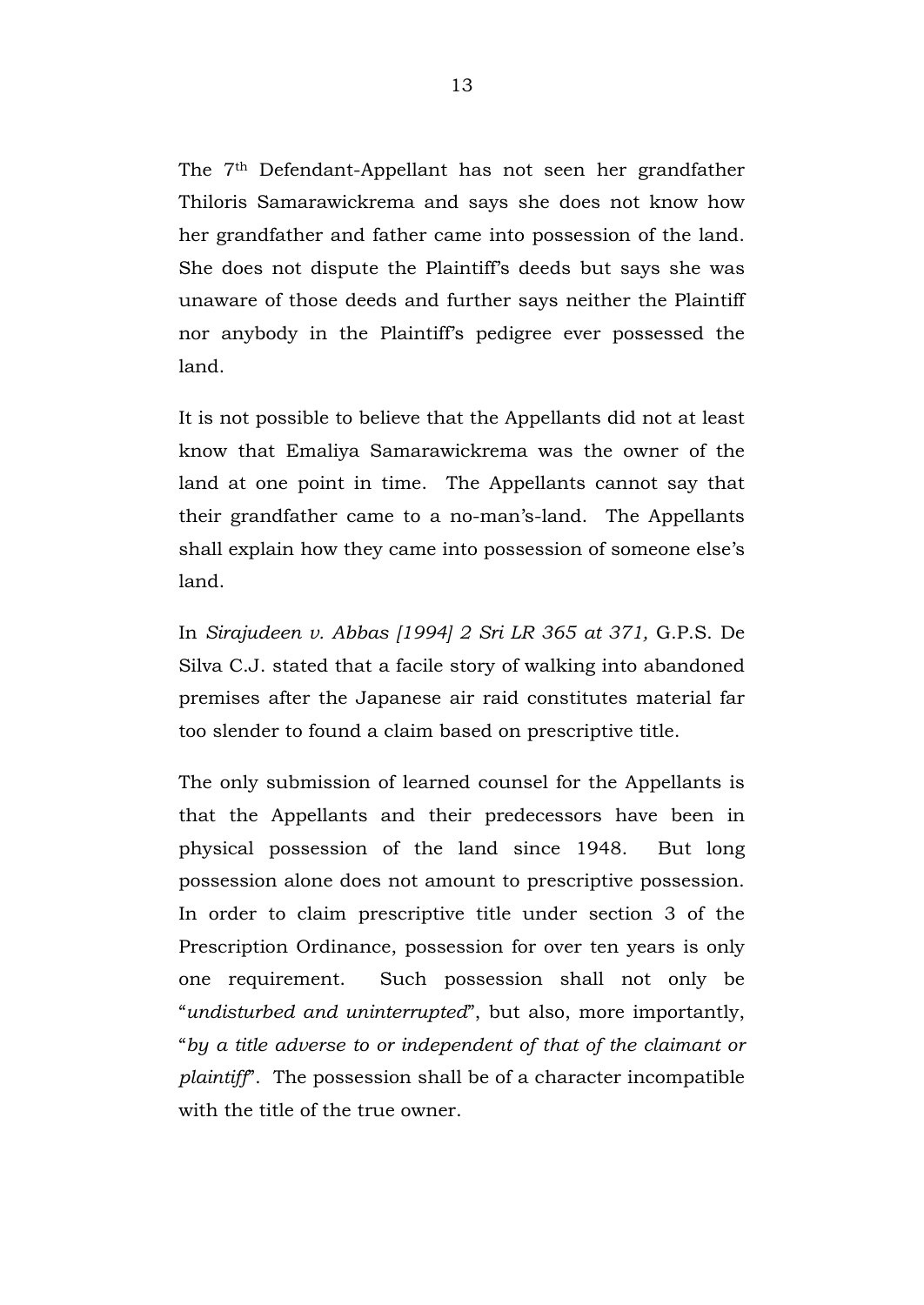The 7th Defendant-Appellant has not seen her grandfather Thiloris Samarawickrema and says she does not know how her grandfather and father came into possession of the land. She does not dispute the Plaintiff's deeds but says she was unaware of those deeds and further says neither the Plaintiff nor anybody in the Plaintiff's pedigree ever possessed the land.

It is not possible to believe that the Appellants did not at least know that Emaliya Samarawickrema was the owner of the land at one point in time. The Appellants cannot say that their grandfather came to a no-man's-land. The Appellants shall explain how they came into possession of someone else's land.

In *Sirajudeen v. Abbas [1994] 2 Sri LR 365 at 371,* G.P.S. De Silva C.J. stated that a facile story of walking into abandoned premises after the Japanese air raid constitutes material far too slender to found a claim based on prescriptive title.

The only submission of learned counsel for the Appellants is that the Appellants and their predecessors have been in physical possession of the land since 1948. But long possession alone does not amount to prescriptive possession. In order to claim prescriptive title under section 3 of the Prescription Ordinance, possession for over ten years is only one requirement. Such possession shall not only be "*undisturbed and uninterrupted*", but also, more importantly, "*by a title adverse to or independent of that of the claimant or plaintiff*". The possession shall be of a character incompatible with the title of the true owner.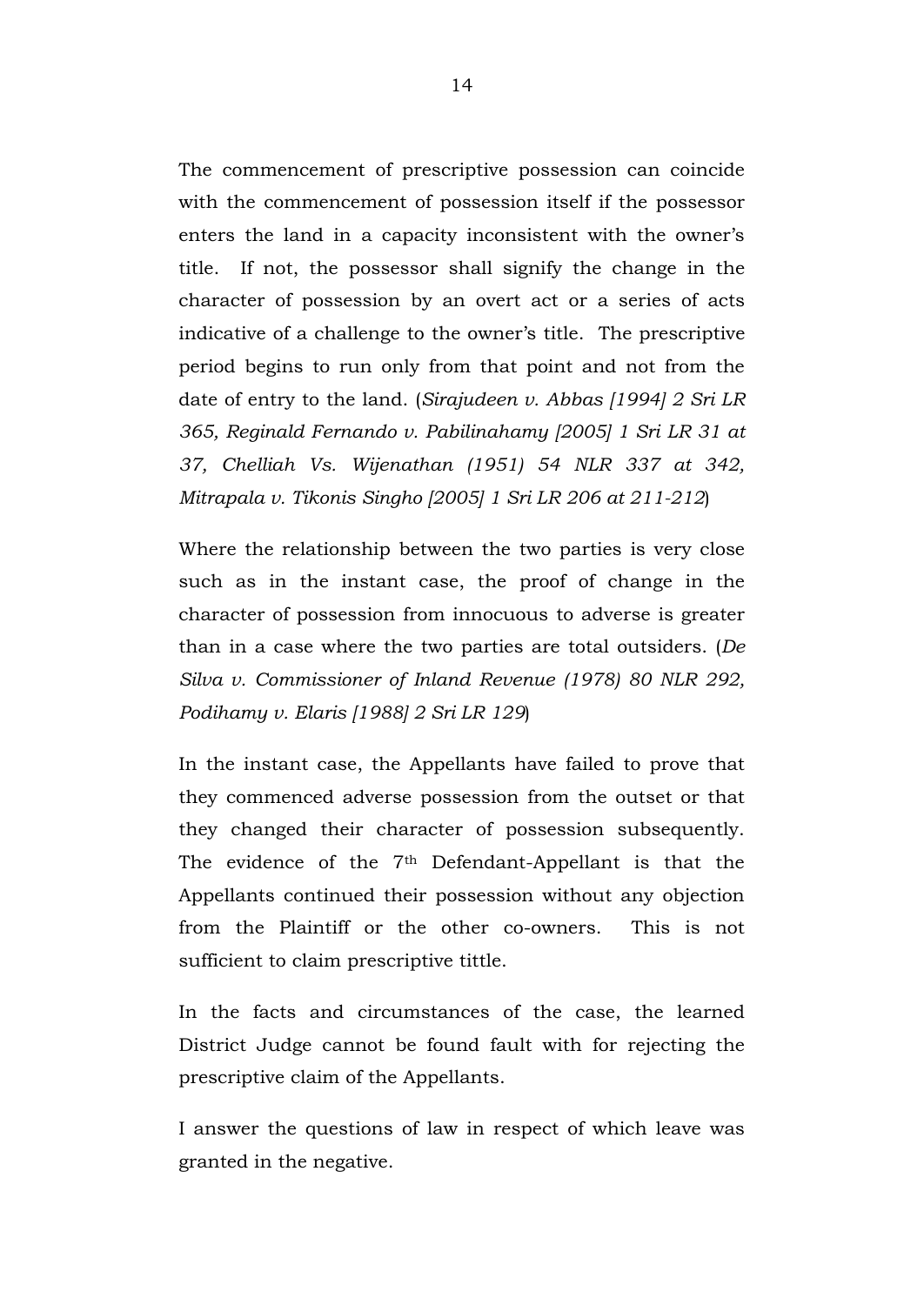The commencement of prescriptive possession can coincide with the commencement of possession itself if the possessor enters the land in a capacity inconsistent with the owner's title. If not, the possessor shall signify the change in the character of possession by an overt act or a series of acts indicative of a challenge to the owner's title. The prescriptive period begins to run only from that point and not from the date of entry to the land. (*Sirajudeen v. Abbas [1994] 2 Sri LR 365, Reginald Fernando v. Pabilinahamy [2005] 1 Sri LR 31 at 37, Chelliah Vs. Wijenathan (1951) 54 NLR 337 at 342, Mitrapala v. Tikonis Singho [2005] 1 Sri LR 206 at 211-212*)

Where the relationship between the two parties is very close such as in the instant case, the proof of change in the character of possession from innocuous to adverse is greater than in a case where the two parties are total outsiders. (*De Silva v. Commissioner of Inland Revenue (1978) 80 NLR 292, Podihamy v. Elaris [1988] 2 Sri LR 129*)

In the instant case, the Appellants have failed to prove that they commenced adverse possession from the outset or that they changed their character of possession subsequently. The evidence of the 7<sup>th</sup> Defendant-Appellant is that the Appellants continued their possession without any objection from the Plaintiff or the other co-owners. This is not sufficient to claim prescriptive tittle.

In the facts and circumstances of the case, the learned District Judge cannot be found fault with for rejecting the prescriptive claim of the Appellants.

I answer the questions of law in respect of which leave was granted in the negative.